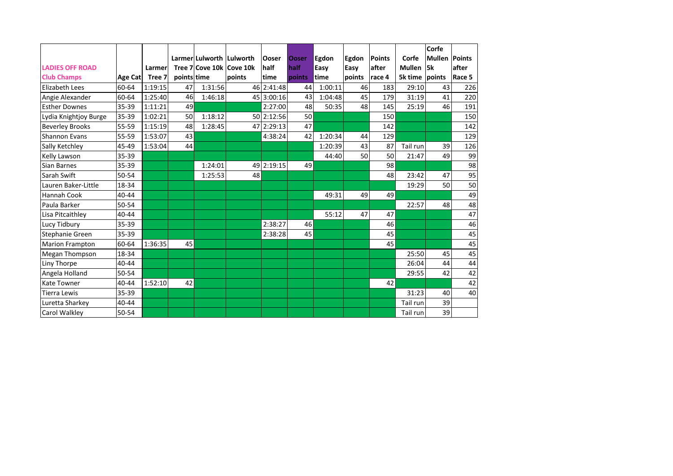|                        |         |         |             |                                                      |        |                      |                      |                      |               |                         |                    | Corfe                |        |
|------------------------|---------|---------|-------------|------------------------------------------------------|--------|----------------------|----------------------|----------------------|---------------|-------------------------|--------------------|----------------------|--------|
| <b>LADIES OFF ROAD</b> |         | Larmer  |             | Larmer Lulworth Lulworth<br>Tree 7 Cove 10k Cove 10k |        | <b>Ooser</b><br>half | <b>Ooser</b><br>half | <b>Egdon</b><br>Easy | Egdon<br>Easy | <b>Points</b><br>lafter | Corfe<br>Mullen 5k | <b>Mullen Points</b> | after  |
| <b>Club Champs</b>     | Age Cat | Tree 7  | points time |                                                      | points | time                 | points               | time                 | points        | race 4                  | 5k time points     |                      | Race 5 |
| Elizabeth Lees         | 60-64   | 1:19:15 | 47          | 1:31:56                                              |        | 46 2:41:48           | 44                   | 1:00:11              | 46            | 183                     | 29:10              | 43                   | 226    |
| Angie Alexander        | 60-64   | 1:25:40 | 46          | 1:46:18                                              |        | 45 3:00:16           | 43                   | 1:04:48              | 45            | 179                     | 31:19              | 41                   | 220    |
| <b>Esther Downes</b>   | 35-39   | 1:11:21 | 49          |                                                      |        | 2:27:00              | 48                   | 50:35                | 48            | 145                     | 25:19              | 46                   | 191    |
| Lydia Knightjoy Burge  | 35-39   | 1:02:21 | 50          | 1:18:12                                              |        | 50 2:12:56           | 50                   |                      |               | 150                     |                    |                      | 150    |
| <b>Beverley Brooks</b> | 55-59   | 1:15:19 | 48          | 1:28:45                                              |        | 47 2:29:13           | 47                   |                      |               | 142                     |                    |                      | 142    |
| Shannon Evans          | 55-59   | 1:53:07 | 43          |                                                      |        | 4:38:24              | 42                   | 1:20:34              | 44            | 129                     |                    |                      | 129    |
| Sally Ketchley         | 45-49   | 1:53:04 | 44          |                                                      |        |                      |                      | 1:20:39              | 43            | 87                      | Tail run           | 39                   | 126    |
| Kelly Lawson           | 35-39   |         |             |                                                      |        |                      |                      | 44:40                | 50            | 50                      | 21:47              | 49                   | 99     |
| Sian Barnes            | 35-39   |         |             | 1:24:01                                              |        | 49 2:19:15           | 49                   |                      |               | 98                      |                    |                      | 98     |
| Sarah Swift            | 50-54   |         |             | 1:25:53                                              | 48     |                      |                      |                      |               | 48                      | 23:42              | 47                   | 95     |
| Lauren Baker-Little    | 18-34   |         |             |                                                      |        |                      |                      |                      |               |                         | 19:29              | 50                   | 50     |
| Hannah Cook            | 40-44   |         |             |                                                      |        |                      |                      | 49:31                | 49            | 49                      |                    |                      | 49     |
| Paula Barker           | 50-54   |         |             |                                                      |        |                      |                      |                      |               |                         | 22:57              | 48                   | 48     |
| Lisa Pitcaithley       | 40-44   |         |             |                                                      |        |                      |                      | 55:12                | 47            | 47                      |                    |                      | 47     |
| Lucy Tidbury           | 35-39   |         |             |                                                      |        | 2:38:27              | 46                   |                      |               | 46                      |                    |                      | 46     |
| Stephanie Green        | 35-39   |         |             |                                                      |        | 2:38:28              | 45                   |                      |               | 45                      |                    |                      | 45     |
| <b>Marion Frampton</b> | 60-64   | 1:36:35 | 45          |                                                      |        |                      |                      |                      |               | 45                      |                    |                      | 45     |
| Megan Thompson         | 18-34   |         |             |                                                      |        |                      |                      |                      |               |                         | 25:50              | 45                   | 45     |
| Liny Thorpe            | 40-44   |         |             |                                                      |        |                      |                      |                      |               |                         | 26:04              | 44                   | 44     |
| Angela Holland         | 50-54   |         |             |                                                      |        |                      |                      |                      |               |                         | 29:55              | 42                   | 42     |
| <b>Kate Towner</b>     | 40-44   | 1:52:10 | 42          |                                                      |        |                      |                      |                      |               | 42                      |                    |                      | 42     |
| <b>Tierra Lewis</b>    | 35-39   |         |             |                                                      |        |                      |                      |                      |               |                         | 31:23              | 40                   | 40     |
| Luretta Sharkey        | 40-44   |         |             |                                                      |        |                      |                      |                      |               |                         | Tail run           | 39                   |        |
| <b>Carol Walkley</b>   | 50-54   |         |             |                                                      |        |                      |                      |                      |               |                         | Tail run           | 39                   |        |